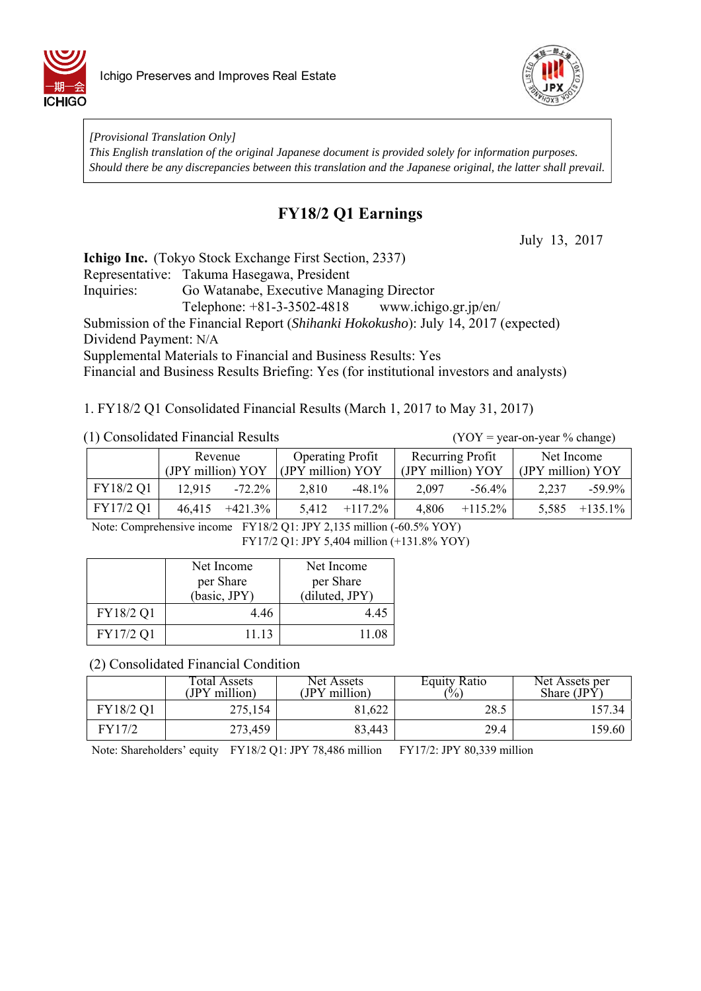



*[Provisional Translation Only] This English translation of the original Japanese document is provided solely for information purposes. Should there be any discrepancies between this translation and the Japanese original, the latter shall prevail.*

## **FY18/2 Q1 Earnings**

July 13, 2017

**Ichigo Inc.** (Tokyo Stock Exchange First Section, 2337)

Representative: Takuma Hasegawa, President

Inquiries: Go Watanabe, Executive Managing Director

Telephone: +81-3-3502-4818 www.ichigo.gr.jp/en/

Submission of the Financial Report (*Shihanki Hokokusho*): July 14, 2017 (expected) Dividend Payment: N/A

Supplemental Materials to Financial and Business Results: Yes

Financial and Business Results Briefing: Yes (for institutional investors and analysts)

1. FY18/2 Q1 Consolidated Financial Results (March 1, 2017 to May 31, 2017)

 $(YOY = year-on-year % change)$ 

|           | Revenue           |            | <b>Operating Profit</b> |            | Recurring Profit  |            | Net Income        |            |
|-----------|-------------------|------------|-------------------------|------------|-------------------|------------|-------------------|------------|
|           | (JPY million) YOY |            | (JPY million) YOY       |            | (JPY million) YOY |            | (JPY million) YOY |            |
| FY18/2 Q1 | 12.915            | $-72.2\%$  | 2.810                   | $-48.1\%$  | 2.097             | $-56.4\%$  | 2.237             | $-59.9\%$  |
| FY17/2 Q1 | 46,415            | $+421.3\%$ | 5.412                   | $+117.2\%$ | 4.806             | $+115.2\%$ | 5,585             | $+135.1\%$ |

Note: Comprehensive income FY18/2 Q1: JPY 2,135 million (-60.5% YOY) FY17/2 Q1: JPY 5,404 million (+131.8% YOY)

|           | Net Income<br>per Share<br>(basic, JPY) | Net Income<br>per Share<br>(diluted, JPY) |
|-----------|-----------------------------------------|-------------------------------------------|
| FY18/2 Q1 | 4.46                                    | 4.45                                      |
| FY17/2 Q1 | 11.13                                   | 11.08                                     |

(2) Consolidated Financial Condition

|           | Total Assets<br>(JPY million) | Net Assets<br>(JPY million) | <b>Equity Ratio</b><br>$\frac{10}{6}$ | Net Assets per<br>Share $(IP\hat{Y})$ |
|-----------|-------------------------------|-----------------------------|---------------------------------------|---------------------------------------|
| FY18/2 Q1 | 275,154                       | 81.622                      | 28.5                                  | 157.34                                |
| FY17/2    | 273,459                       | 83,443                      | 29.4                                  | 159.60                                |

Note: Shareholders' equity FY18/2 Q1: JPY 78,486 million FY17/2: JPY 80,339 million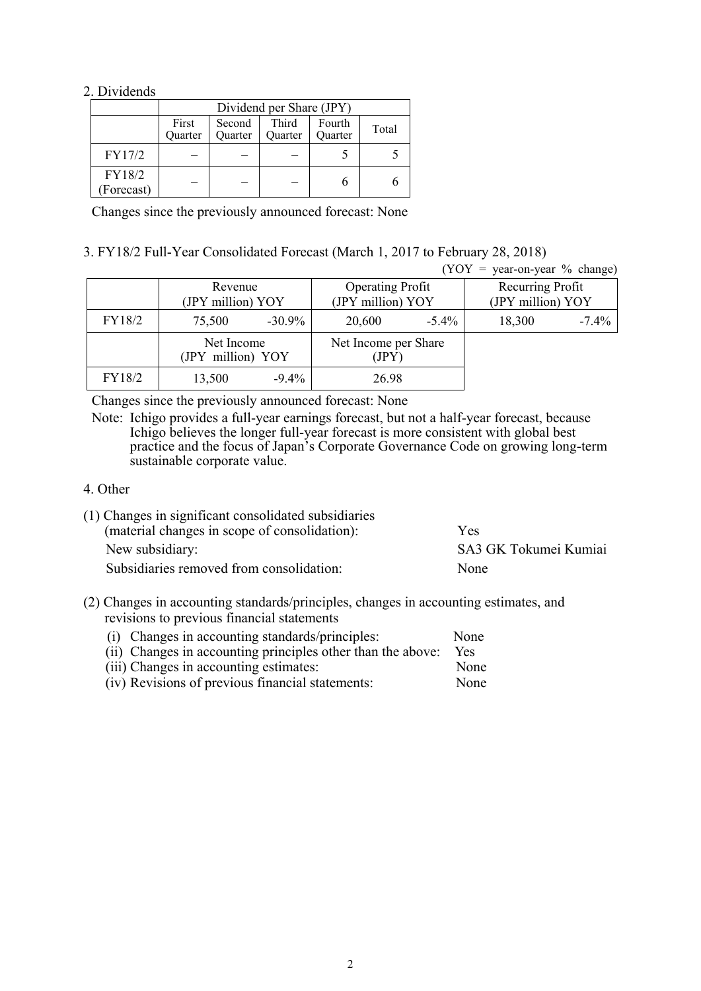### 2. Dividends

|                      | Dividend per Share (JPY)                                                                                     |  |  |  |  |
|----------------------|--------------------------------------------------------------------------------------------------------------|--|--|--|--|
|                      | First<br>Third<br>Second<br>Fourth<br>Total<br>Quarter<br><b>Ouarter</b><br><b>Ouarter</b><br><b>Ouarter</b> |  |  |  |  |
| FY17/2               |                                                                                                              |  |  |  |  |
| FY18/2<br>(Forecast) |                                                                                                              |  |  |  |  |

Changes since the previously announced forecast: None

### 3. FY18/2 Full-Year Consolidated Forecast (March 1, 2017 to February 28, 2018)

|        |                                 |           |                                              |          | $(YOY = year-on-year \% change)$      |          |
|--------|---------------------------------|-----------|----------------------------------------------|----------|---------------------------------------|----------|
|        | Revenue<br>(JPY million) YOY    |           | <b>Operating Profit</b><br>(JPY million) YOY |          | Recurring Profit<br>(JPY million) YOY |          |
| FY18/2 | 75,500                          | $-30.9\%$ | 20,600                                       | $-5.4\%$ | 18,300                                | $-7.4\%$ |
|        | Net Income<br>(JPY million) YOY |           | Net Income per Share<br>(JPY)                |          |                                       |          |
| FY18/2 | 13,500                          | $-9.4\%$  | 26.98                                        |          |                                       |          |

Changes since the previously announced forecast: None

Note: Ichigo provides a full-year earnings forecast, but not a half-year forecast, because Ichigo believes the longer full-year forecast is more consistent with global best practice and the focus of Japan's Corporate Governance Code on growing long-term sustainable corporate value.

#### 4. Other

| (1) Changes in significant consolidated subsidiaries |                       |
|------------------------------------------------------|-----------------------|
| (material changes in scope of consolidation):        | Yes                   |
| New subsidiary:                                      | SA3 GK Tokumei Kumiai |
| Subsidiaries removed from consolidation:             | None                  |

(2) Changes in accounting standards/principles, changes in accounting estimates, and revisions to previous financial statements

| (i) Changes in accounting standards/principles:             | None        |
|-------------------------------------------------------------|-------------|
| (ii) Changes in accounting principles other than the above: | <b>Yes</b>  |
| (iii) Changes in accounting estimates:                      | <b>None</b> |
| (iv) Revisions of previous financial statements:            | None        |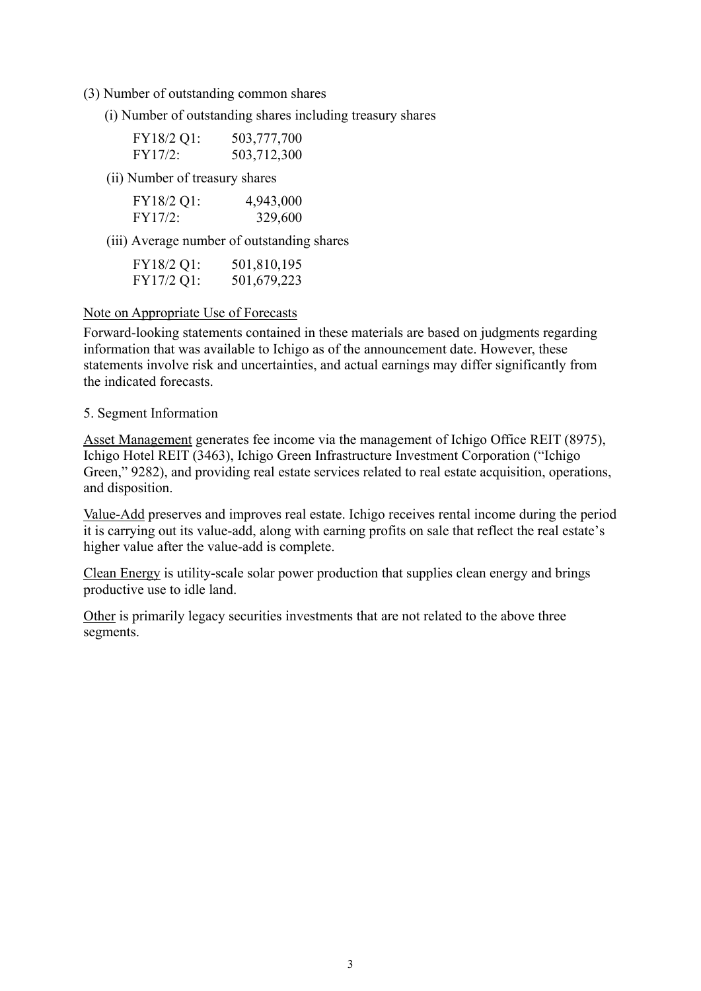- (3) Number of outstanding common shares
	- (i) Number of outstanding shares including treasury shares

| FY18/2 Q1: | 503,777,700 |
|------------|-------------|
| FY17/2:    | 503,712,300 |

(ii) Number of treasury shares

| FY18/2 Q1: | 4,943,000 |
|------------|-----------|
| FY17/2:    | 329,600   |

(iii) Average number of outstanding shares

| FY18/2 Q1: | 501,810,195 |
|------------|-------------|
| FY17/2 Q1: | 501,679,223 |

### Note on Appropriate Use of Forecasts

Forward-looking statements contained in these materials are based on judgments regarding information that was available to Ichigo as of the announcement date. However, these statements involve risk and uncertainties, and actual earnings may differ significantly from the indicated forecasts.

### 5. Segment Information

Asset Management generates fee income via the management of Ichigo Office REIT (8975), Ichigo Hotel REIT (3463), Ichigo Green Infrastructure Investment Corporation ("Ichigo Green," 9282), and providing real estate services related to real estate acquisition, operations, and disposition.

Value-Add preserves and improves real estate. Ichigo receives rental income during the period it is carrying out its value-add, along with earning profits on sale that reflect the real estate's higher value after the value-add is complete.

Clean Energy is utility-scale solar power production that supplies clean energy and brings productive use to idle land.

Other is primarily legacy securities investments that are not related to the above three segments.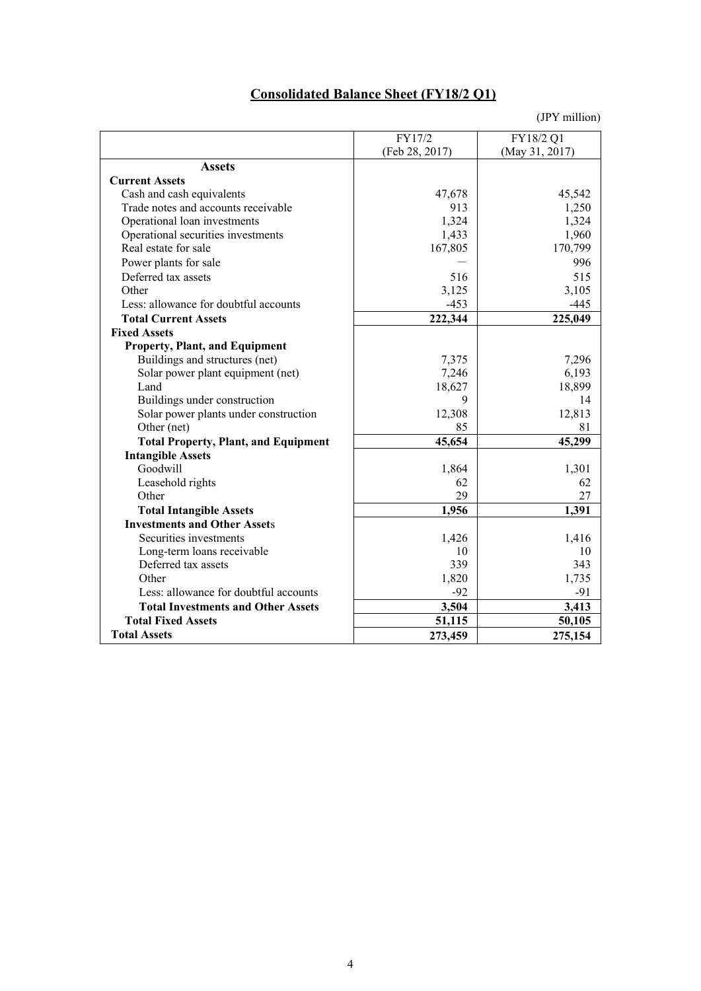# **Consolidated Balance Sheet (FY18/2 Q1)**

|                                             | FY17/2         | FY18/2 Q1      |
|---------------------------------------------|----------------|----------------|
|                                             | (Feb 28, 2017) | (May 31, 2017) |
| <b>Assets</b>                               |                |                |
| <b>Current Assets</b>                       |                |                |
| Cash and cash equivalents                   | 47,678         | 45,542         |
| Trade notes and accounts receivable         | 913            | 1,250          |
| Operational loan investments                | 1,324          | 1,324          |
| Operational securities investments          | 1,433          | 1,960          |
| Real estate for sale                        | 167,805        | 170,799        |
| Power plants for sale                       |                | 996            |
| Deferred tax assets                         | 516            | 515            |
| Other                                       | 3,125          | 3,105          |
| Less: allowance for doubtful accounts       | $-453$         | $-445$         |
| <b>Total Current Assets</b>                 | 222,344        | 225,049        |
| <b>Fixed Assets</b>                         |                |                |
| <b>Property, Plant, and Equipment</b>       |                |                |
| Buildings and structures (net)              | 7,375          | 7,296          |
| Solar power plant equipment (net)           | 7,246          | 6,193          |
| Land                                        | 18,627         | 18,899         |
| Buildings under construction                | 9              | 14             |
| Solar power plants under construction       | 12,308         | 12,813         |
| Other (net)                                 | 85             | 81             |
| <b>Total Property, Plant, and Equipment</b> | 45,654         | 45,299         |
| <b>Intangible Assets</b>                    |                |                |
| Goodwill                                    | 1,864          | 1,301          |
| Leasehold rights                            | 62             | 62             |
| Other                                       | 29             | 27             |
| <b>Total Intangible Assets</b>              | 1,956          | 1,391          |
| <b>Investments and Other Assets</b>         |                |                |
| Securities investments                      | 1,426          | 1,416          |
| Long-term loans receivable                  | 10             | 10             |
| Deferred tax assets                         | 339            | 343            |
| Other                                       | 1,820          | 1,735          |
| Less: allowance for doubtful accounts       | $-92$          | -91            |
| <b>Total Investments and Other Assets</b>   | 3,504          | 3,413          |
| <b>Total Fixed Assets</b>                   | 51,115         | 50,105         |
| <b>Total Assets</b>                         | 273,459        | 275,154        |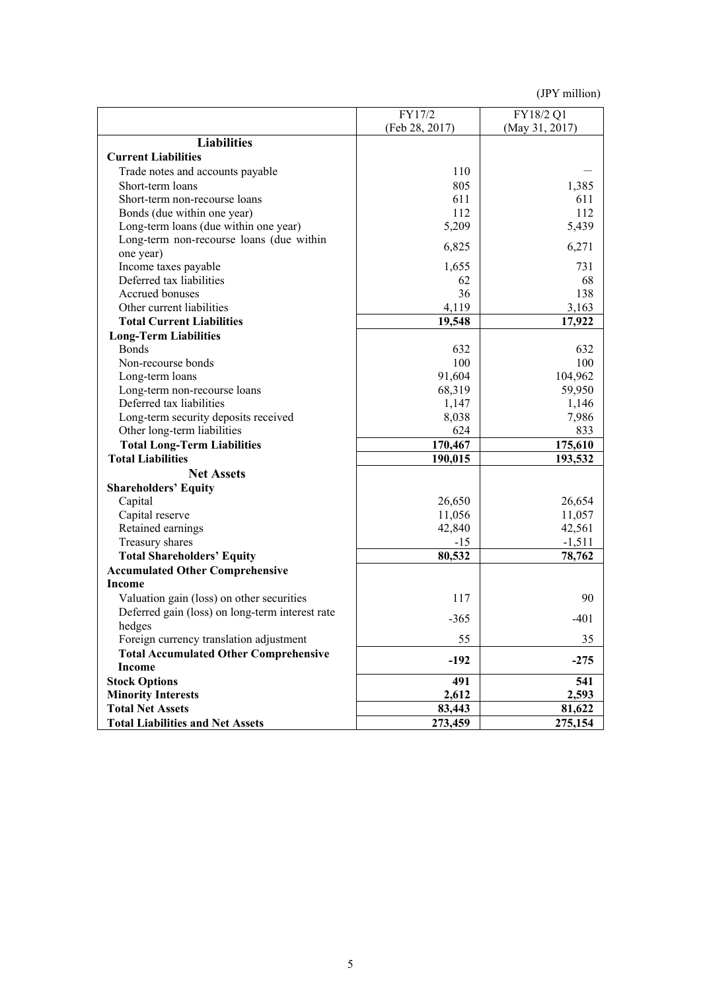|                                                 | FY17/2         | FY18/2 Q1          |  |
|-------------------------------------------------|----------------|--------------------|--|
|                                                 | (Feb 28, 2017) | (May 31, 2017)     |  |
| <b>Liabilities</b>                              |                |                    |  |
| <b>Current Liabilities</b>                      |                |                    |  |
| Trade notes and accounts payable                | 110            |                    |  |
| Short-term loans                                | 805            | 1,385              |  |
| Short-term non-recourse loans                   | 611            | 611                |  |
| Bonds (due within one year)                     | 112            | 112                |  |
| Long-term loans (due within one year)           | 5,209          | 5,439              |  |
| Long-term non-recourse loans (due within        |                |                    |  |
| one year)                                       | 6,825          | 6,271              |  |
| Income taxes payable                            | 1,655          | 731                |  |
| Deferred tax liabilities                        | 62             | 68                 |  |
| Accrued bonuses                                 | 36             | 138                |  |
| Other current liabilities                       | 4,119          | 3,163              |  |
| <b>Total Current Liabilities</b>                | 19,548         | 17,922             |  |
| <b>Long-Term Liabilities</b>                    |                |                    |  |
| <b>Bonds</b>                                    | 632            | 632                |  |
| Non-recourse bonds                              | 100            | 100                |  |
| Long-term loans                                 | 91,604         | 104,962            |  |
| Long-term non-recourse loans                    | 68,319         | 59,950             |  |
| Deferred tax liabilities                        | 1,147          | 1,146              |  |
| Long-term security deposits received            | 8,038          | 7,986              |  |
| Other long-term liabilities                     | 624            | 833                |  |
| <b>Total Long-Term Liabilities</b>              | 170,467        | 175,610<br>193,532 |  |
| <b>Total Liabilities</b>                        | 190,015        |                    |  |
| <b>Net Assets</b>                               |                |                    |  |
| <b>Shareholders' Equity</b>                     |                |                    |  |
| Capital                                         | 26,650         | 26,654             |  |
| Capital reserve                                 | 11,056         | 11,057             |  |
| Retained earnings                               | 42,840         | 42,561             |  |
| Treasury shares                                 | $-15$          | $-1,511$           |  |
| <b>Total Shareholders' Equity</b>               | 80,532         | 78,762             |  |
| <b>Accumulated Other Comprehensive</b>          |                |                    |  |
| <b>Income</b>                                   |                |                    |  |
| Valuation gain (loss) on other securities       | 117            | 90                 |  |
| Deferred gain (loss) on long-term interest rate |                |                    |  |
| hedges                                          | $-365$         | $-401$             |  |
| Foreign currency translation adjustment         | 55             | 35                 |  |
| <b>Total Accumulated Other Comprehensive</b>    |                |                    |  |
| <b>Income</b>                                   | $-192$         | $-275$             |  |
| <b>Stock Options</b>                            | 491            | 541                |  |
| <b>Minority Interests</b>                       | 2,612          | 2,593              |  |
| <b>Total Net Assets</b>                         | 83,443         | 81,622             |  |
|                                                 | 273,459        | 275,154            |  |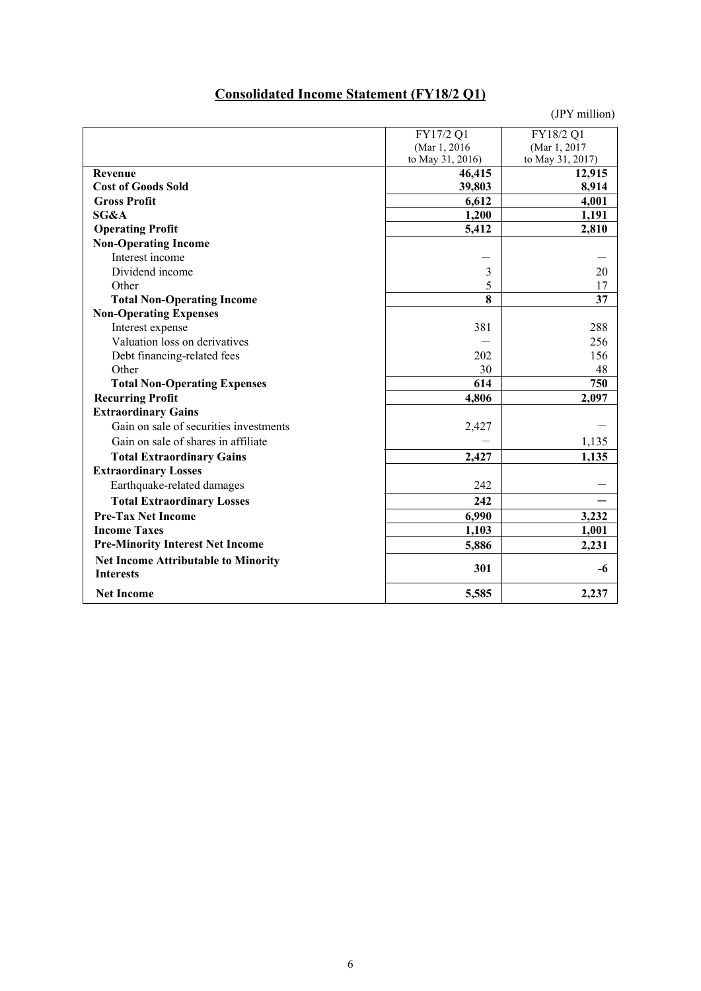## **Consolidated Income Statement (FY18/2 Q1)**

|                                            | FY17/2 Q1        | FY18/2 Q1        |
|--------------------------------------------|------------------|------------------|
|                                            | (Mar 1, 2016)    | (Mar 1, 2017)    |
|                                            | to May 31, 2016) | to May 31, 2017) |
| Revenue                                    | 46,415           | 12,915           |
| <b>Cost of Goods Sold</b>                  | 39,803           | 8,914            |
| <b>Gross Profit</b>                        | 6,612            | 4,001            |
| SG&A                                       | 1,200            | 1,191            |
| <b>Operating Profit</b>                    | 5,412            | 2,810            |
| <b>Non-Operating Income</b>                |                  |                  |
| Interest income                            |                  |                  |
| Dividend income                            | 3                | 20               |
| Other                                      | 5                | 17               |
| <b>Total Non-Operating Income</b>          | 8                | 37               |
| <b>Non-Operating Expenses</b>              |                  |                  |
| Interest expense                           | 381              | 288              |
| Valuation loss on derivatives              |                  | 256              |
| Debt financing-related fees                | 202              | 156              |
| Other                                      | 30               | 48               |
| <b>Total Non-Operating Expenses</b>        | 614              | 750              |
| <b>Recurring Profit</b>                    | 4,806            | 2,097            |
| <b>Extraordinary Gains</b>                 |                  |                  |
| Gain on sale of securities investments     | 2,427            |                  |
| Gain on sale of shares in affiliate        |                  | 1,135            |
| <b>Total Extraordinary Gains</b>           | 2,427            | 1,135            |
| <b>Extraordinary Losses</b>                |                  |                  |
| Earthquake-related damages                 | 242              |                  |
| <b>Total Extraordinary Losses</b>          | 242              |                  |
| <b>Pre-Tax Net Income</b>                  | 6,990            | 3,232            |
| <b>Income Taxes</b>                        | 1,103            | 1,001            |
| <b>Pre-Minority Interest Net Income</b>    | 5,886            | 2,231            |
| <b>Net Income Attributable to Minority</b> |                  |                  |
| <b>Interests</b>                           | 301              | -6               |
| <b>Net Income</b>                          | 5,585            | 2,237            |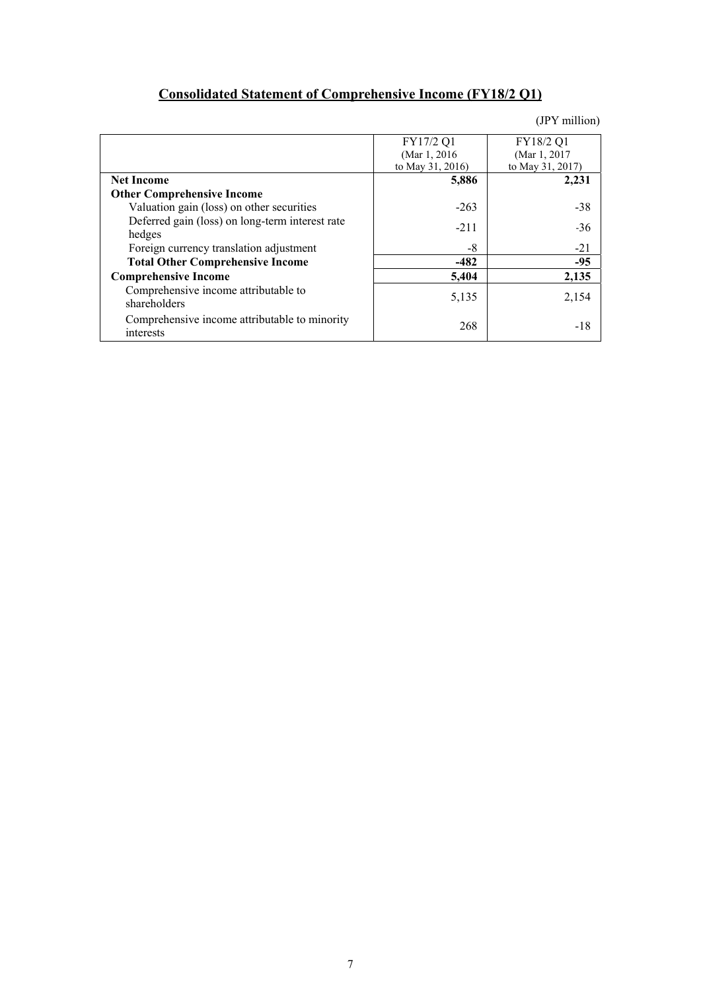# **Consolidated Statement of Comprehensive Income (FY18/2 Q1)**

|                                                            | FY17/2 Q1<br>(Mar 1, 2016) | FY18/2 Q1<br>(Mar 1, 2017) |
|------------------------------------------------------------|----------------------------|----------------------------|
| <b>Net Income</b>                                          | to May 31, 2016)<br>5,886  | to May 31, 2017)<br>2,231  |
| <b>Other Comprehensive Income</b>                          |                            |                            |
| Valuation gain (loss) on other securities                  | $-263$                     | $-38$                      |
| Deferred gain (loss) on long-term interest rate<br>hedges  | $-211$                     | $-36$                      |
| Foreign currency translation adjustment                    | -8                         | $-21$                      |
| <b>Total Other Comprehensive Income</b>                    | $-482$                     | $-95$                      |
| <b>Comprehensive Income</b>                                | 5,404                      | 2,135                      |
| Comprehensive income attributable to<br>shareholders       | 5,135                      | 2,154                      |
| Comprehensive income attributable to minority<br>interests | 268                        | -18                        |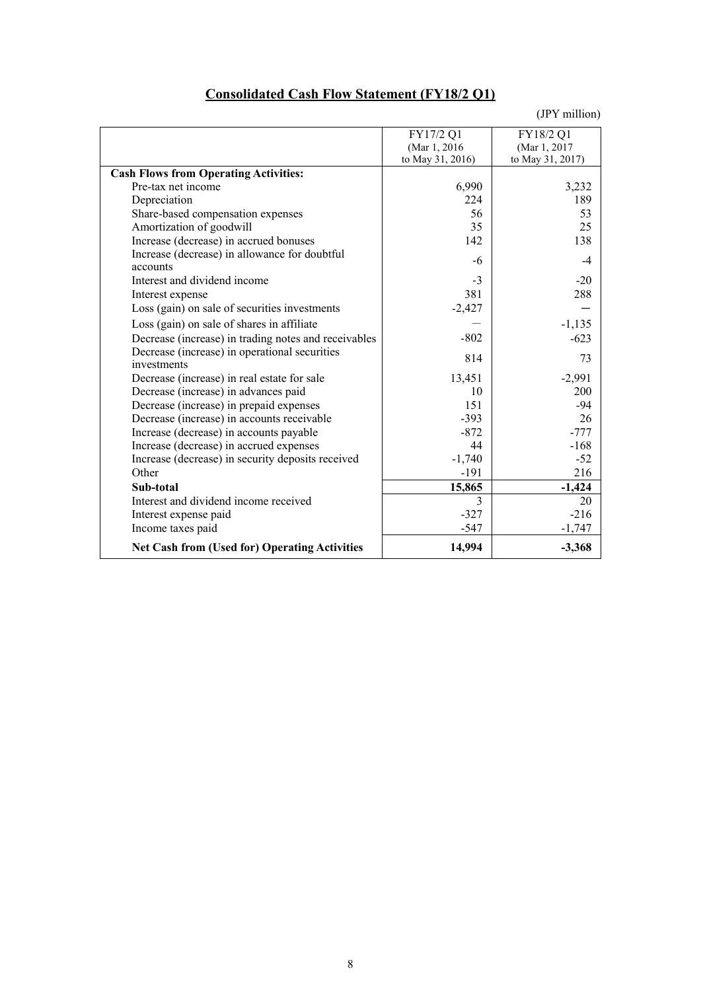## **Consolidated Cash Flow Statement (FY18/2 Q1)**

|                                                      | FY17/2 Q1        | FY18/2 Q1        |
|------------------------------------------------------|------------------|------------------|
|                                                      | (Mar 1, 2016)    | (Mar 1, 2017)    |
|                                                      | to May 31, 2016) | to May 31, 2017) |
| <b>Cash Flows from Operating Activities:</b>         |                  |                  |
| Pre-tax net income                                   | 6,990            | 3,232            |
| Depreciation                                         | 224              | 189              |
| Share-based compensation expenses                    | 56               | 53               |
| Amortization of goodwill                             | 35               | 25               |
| Increase (decrease) in accrued bonuses               | 142              | 138              |
| Increase (decrease) in allowance for doubtful        | -6               | $-4$             |
| accounts                                             |                  |                  |
| Interest and dividend income                         | $-3$             | $-20$            |
| Interest expense                                     | 381              | 288              |
| Loss (gain) on sale of securities investments        | $-2,427$         |                  |
| Loss (gain) on sale of shares in affiliate           |                  | $-1,135$         |
| Decrease (increase) in trading notes and receivables | $-802$           | $-623$           |
| Decrease (increase) in operational securities        | 814              | 73               |
| investments                                          |                  |                  |
| Decrease (increase) in real estate for sale          | 13,451           | $-2,991$         |
| Decrease (increase) in advances paid                 | 10               | 200              |
| Decrease (increase) in prepaid expenses              | 151              | $-94$            |
| Decrease (increase) in accounts receivable           | $-393$           | 26               |
| Increase (decrease) in accounts payable              | $-872$           | $-777$           |
| Increase (decrease) in accrued expenses              | 44               | $-168$           |
| Increase (decrease) in security deposits received    | $-1,740$         | $-52$            |
| Other                                                | $-191$           | 216              |
| Sub-total                                            | 15,865           | $-1,424$         |
| Interest and dividend income received                | $\mathcal{E}$    | 20               |
| Interest expense paid                                | $-327$           | $-216$           |
| Income taxes paid                                    | $-547$           | $-1,747$         |
| <b>Net Cash from (Used for) Operating Activities</b> | 14,994           | $-3,368$         |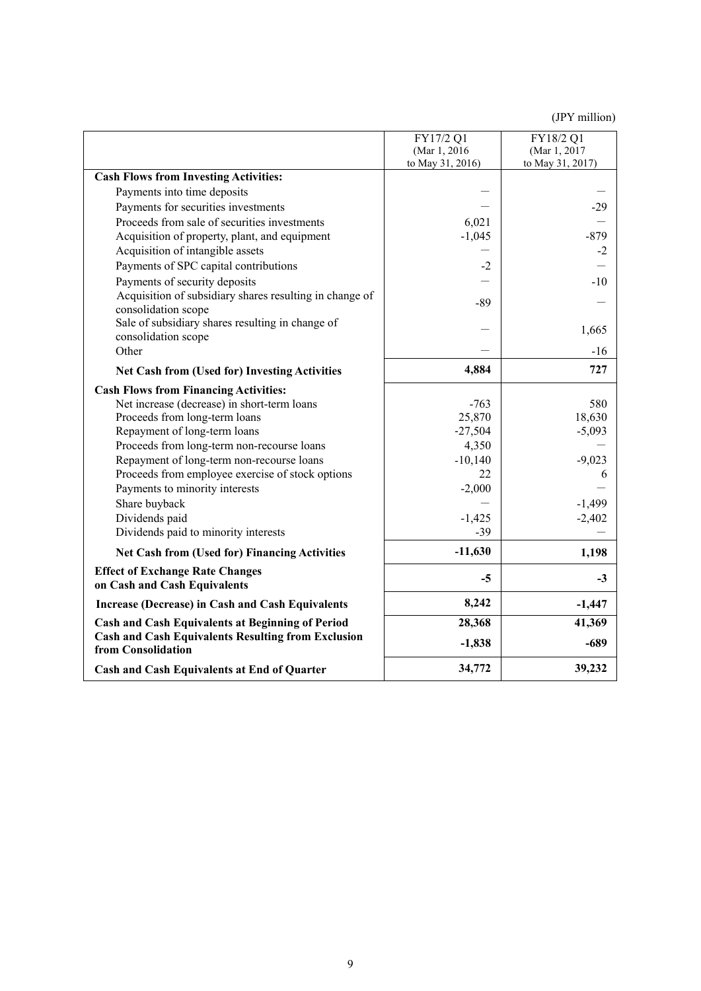|                                                                                 | FY17/2 Q1<br>(Mar 1, 2016) | FY18/2 Q1<br>(Mar 1, 2017) |
|---------------------------------------------------------------------------------|----------------------------|----------------------------|
|                                                                                 | to May 31, 2016)           | to May 31, 2017)           |
| <b>Cash Flows from Investing Activities:</b>                                    |                            |                            |
| Payments into time deposits                                                     |                            |                            |
| Payments for securities investments                                             |                            | $-29$                      |
| Proceeds from sale of securities investments                                    | 6,021                      |                            |
| Acquisition of property, plant, and equipment                                   | $-1,045$                   | $-879$                     |
| Acquisition of intangible assets                                                |                            | $-2$                       |
| Payments of SPC capital contributions                                           | $-2$                       |                            |
| Payments of security deposits                                                   |                            | $-10$                      |
| Acquisition of subsidiary shares resulting in change of                         | $-89$                      |                            |
| consolidation scope                                                             |                            |                            |
| Sale of subsidiary shares resulting in change of<br>consolidation scope         |                            | 1,665                      |
| Other                                                                           |                            | $-16$                      |
| <b>Net Cash from (Used for) Investing Activities</b>                            | 4,884                      | 727                        |
| <b>Cash Flows from Financing Activities:</b>                                    |                            |                            |
| Net increase (decrease) in short-term loans                                     | $-763$                     | 580                        |
| Proceeds from long-term loans                                                   | 25,870                     | 18,630                     |
| Repayment of long-term loans                                                    | $-27,504$                  | $-5,093$                   |
| Proceeds from long-term non-recourse loans                                      | 4,350                      |                            |
| Repayment of long-term non-recourse loans                                       | $-10,140$                  | $-9,023$                   |
| Proceeds from employee exercise of stock options                                | 22                         | 6                          |
| Payments to minority interests                                                  | $-2,000$                   |                            |
| Share buyback                                                                   |                            | $-1,499$                   |
| Dividends paid                                                                  | $-1,425$                   | $-2,402$                   |
| Dividends paid to minority interests                                            | $-39$                      |                            |
| <b>Net Cash from (Used for) Financing Activities</b>                            | $-11,630$                  | 1,198                      |
| <b>Effect of Exchange Rate Changes</b>                                          | $-5$                       | $-3$                       |
| on Cash and Cash Equivalents                                                    |                            |                            |
| <b>Increase (Decrease) in Cash and Cash Equivalents</b>                         | 8,242                      | $-1,447$                   |
| <b>Cash and Cash Equivalents at Beginning of Period</b>                         | 28,368                     | 41,369                     |
| <b>Cash and Cash Equivalents Resulting from Exclusion</b><br>from Consolidation | $-1,838$                   | $-689$                     |
| Cash and Cash Equivalents at End of Quarter                                     | 34,772                     | 39,232                     |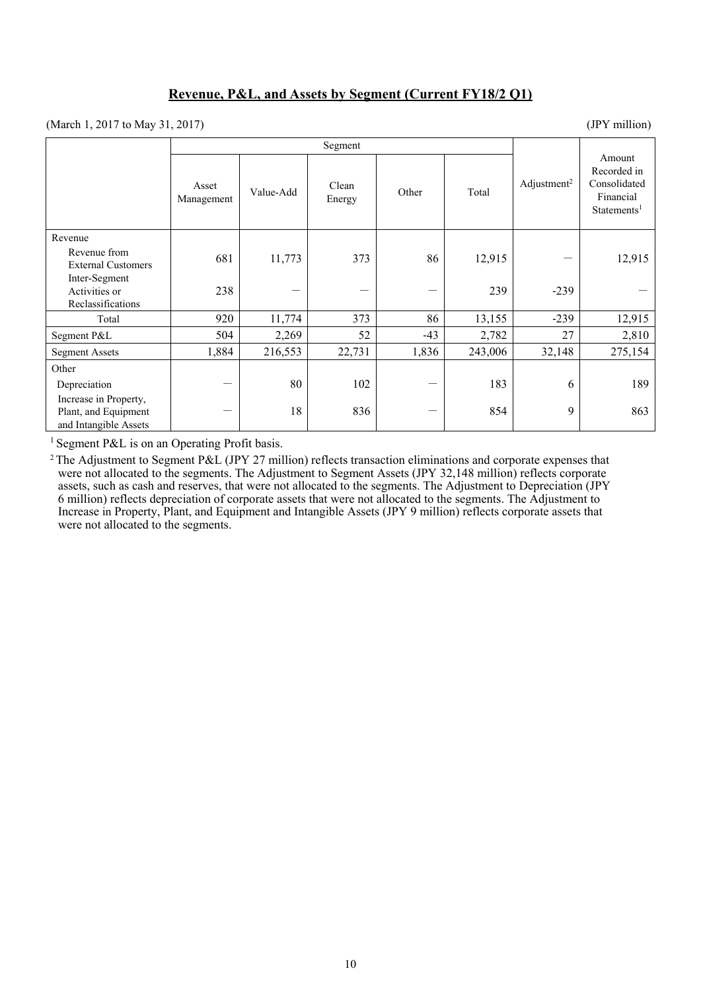### **Revenue, P&L, and Assets by Segment (Current FY18/2 Q1)**

(March 1, 2017 to May 31, 2017) (JPY million)

|                                                                        | Segment             |           |                 |       |         |                         |                                                                               |
|------------------------------------------------------------------------|---------------------|-----------|-----------------|-------|---------|-------------------------|-------------------------------------------------------------------------------|
|                                                                        | Asset<br>Management | Value-Add | Clean<br>Energy | Other | Total   | Adjustment <sup>2</sup> | Amount<br>Recorded in<br>Consolidated<br>Financial<br>Statements <sup>1</sup> |
| Revenue                                                                |                     |           |                 |       |         |                         |                                                                               |
| Revenue from<br><b>External Customers</b>                              | 681                 | 11,773    | 373             | 86    | 12,915  |                         | 12,915                                                                        |
| Inter-Segment<br>Activities or<br>Reclassifications                    | 238                 |           |                 | —     | 239     | $-239$                  |                                                                               |
| Total                                                                  | 920                 | 11,774    | 373             | 86    | 13,155  | $-239$                  | 12,915                                                                        |
| Segment P&L                                                            | 504                 | 2,269     | 52              | $-43$ | 2,782   | 27                      | 2,810                                                                         |
| <b>Segment Assets</b>                                                  | 1,884               | 216,553   | 22,731          | 1,836 | 243,006 | 32,148                  | 275,154                                                                       |
| Other                                                                  |                     |           |                 |       |         |                         |                                                                               |
| Depreciation                                                           |                     | 80        | 102             |       | 183     | 6                       | 189                                                                           |
| Increase in Property,<br>Plant, and Equipment<br>and Intangible Assets |                     | 18        | 836             | —     | 854     | 9                       | 863                                                                           |

<sup>1</sup> Segment P&L is on an Operating Profit basis.

<sup>2</sup> The Adjustment to Segment P&L (JPY 27 million) reflects transaction eliminations and corporate expenses that were not allocated to the segments. The Adjustment to Segment Assets (JPY 32,148 million) reflects corporate assets, such as cash and reserves, that were not allocated to the segments. The Adjustment to Depreciation (JPY 6 million) reflects depreciation of corporate assets that were not allocated to the segments. The Adjustment to Increase in Property, Plant, and Equipment and Intangible Assets (JPY 9 million) reflects corporate assets that were not allocated to the segments.